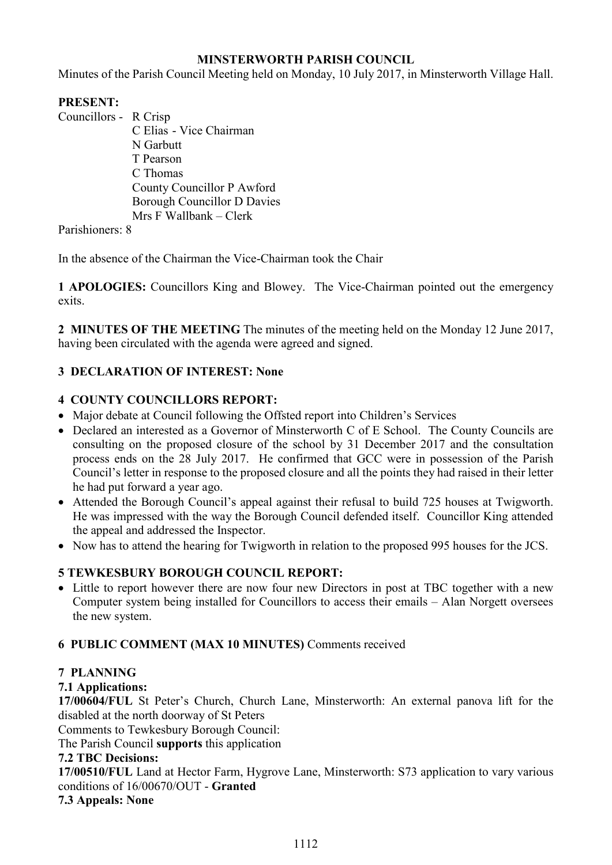# **MINSTERWORTH PARISH COUNCIL**

Minutes of the Parish Council Meeting held on Monday, 10 July 2017, in Minsterworth Village Hall.

# **PRESENT:**

Councillors - R Crisp C Elias - Vice Chairman N Garbutt T Pearson C Thomas County Councillor P Awford Borough Councillor D Davies Mrs F Wallbank – Clerk

Parishioners: 8

In the absence of the Chairman the Vice-Chairman took the Chair

**1 APOLOGIES:** Councillors King and Blowey. The Vice-Chairman pointed out the emergency exits.

**2 MINUTES OF THE MEETING** The minutes of the meeting held on the Monday 12 June 2017, having been circulated with the agenda were agreed and signed.

# **3 DECLARATION OF INTEREST: None**

# **4 COUNTY COUNCILLORS REPORT:**

- Major debate at Council following the Offsted report into Children's Services
- Declared an interested as a Governor of Minsterworth C of E School. The County Councils are consulting on the proposed closure of the school by 31 December 2017 and the consultation process ends on the 28 July 2017. He confirmed that GCC were in possession of the Parish Council's letter in response to the proposed closure and all the points they had raised in their letter he had put forward a year ago.
- Attended the Borough Council's appeal against their refusal to build 725 houses at Twigworth. He was impressed with the way the Borough Council defended itself. Councillor King attended the appeal and addressed the Inspector.
- Now has to attend the hearing for Twigworth in relation to the proposed 995 houses for the JCS.

# **5 TEWKESBURY BOROUGH COUNCIL REPORT:**

• Little to report however there are now four new Directors in post at TBC together with a new Computer system being installed for Councillors to access their emails – Alan Norgett oversees the new system.

## **6 PUBLIC COMMENT (MAX 10 MINUTES)** Comments received

## **7 PLANNING**

# **7.1 Applications:**

**17/00604/FUL** St Peter's Church, Church Lane, Minsterworth: An external panova lift for the disabled at the north doorway of St Peters

Comments to Tewkesbury Borough Council:

The Parish Council **supports** this application

## **7.2 TBC Decisions:**

**17/00510/FUL** Land at Hector Farm, Hygrove Lane, Minsterworth: S73 application to vary various conditions of 16/00670/OUT - **Granted** 

## **7.3 Appeals: None**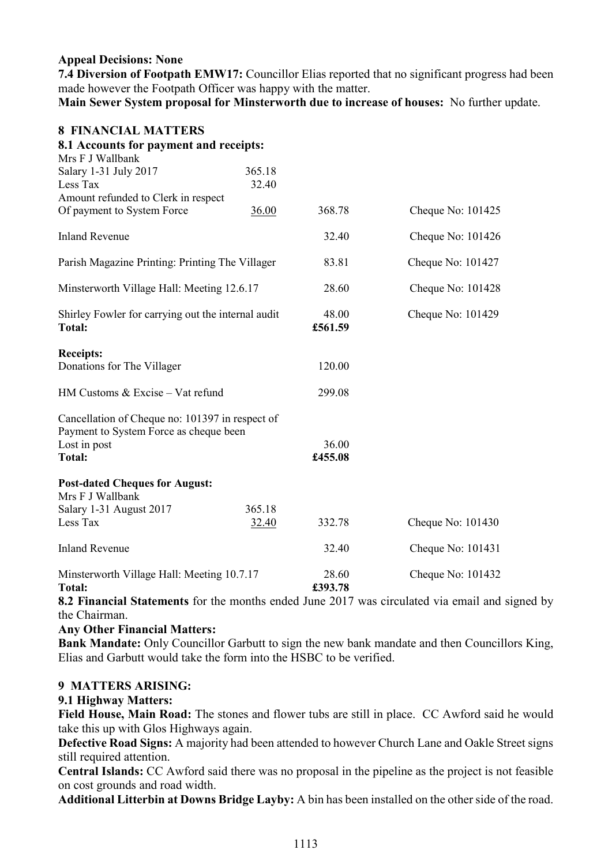### **Appeal Decisions: None**

**7.4 Diversion of Footpath EMW17:** Councillor Elias reported that no significant progress had been made however the Footpath Officer was happy with the matter.

**Main Sewer System proposal for Minsterworth due to increase of houses:** No further update.

### **8 FINANCIAL MATTERS**

| 8.1 Accounts for payment and receipts:                                                    |        |                  |                     |
|-------------------------------------------------------------------------------------------|--------|------------------|---------------------|
| Mrs F J Wallbank                                                                          |        |                  |                     |
| Salary 1-31 July 2017                                                                     | 365.18 |                  |                     |
| Less Tax                                                                                  | 32.40  |                  |                     |
| Amount refunded to Clerk in respect                                                       |        |                  |                     |
| Of payment to System Force                                                                | 36.00  | 368.78           | Cheque No: 101425   |
| <b>Inland Revenue</b>                                                                     |        | 32.40            | Cheque No: $101426$ |
| Parish Magazine Printing: Printing The Villager                                           |        | 83.81            | Cheque No: 101427   |
| Minsterworth Village Hall: Meeting 12.6.17                                                |        | 28.60            | Cheque No: 101428   |
| Shirley Fowler for carrying out the internal audit<br><b>Total:</b>                       |        | 48.00<br>£561.59 | Cheque No: 101429   |
| <b>Receipts:</b>                                                                          |        |                  |                     |
| Donations for The Villager                                                                |        | 120.00           |                     |
| HM Customs & Excise - Vat refund                                                          |        | 299.08           |                     |
| Cancellation of Cheque no: 101397 in respect of<br>Payment to System Force as cheque been |        |                  |                     |
| Lost in post                                                                              |        | 36.00            |                     |
| <b>Total:</b>                                                                             |        | £455.08          |                     |
| <b>Post-dated Cheques for August:</b>                                                     |        |                  |                     |
| Mrs F J Wallbank                                                                          |        |                  |                     |
| Salary 1-31 August 2017                                                                   | 365.18 |                  |                     |
| Less Tax                                                                                  | 32.40  | 332.78           | Cheque No: 101430   |
| <b>Inland Revenue</b>                                                                     |        | 32.40            | Cheque No: 101431   |
| Minsterworth Village Hall: Meeting 10.7.17<br><b>Total:</b>                               |        | 28.60<br>£393.78 | Cheque No: 101432   |

**8.2 Financial Statements** for the months ended June 2017 was circulated via email and signed by the Chairman.

### **Any Other Financial Matters:**

**Bank Mandate:** Only Councillor Garbutt to sign the new bank mandate and then Councillors King, Elias and Garbutt would take the form into the HSBC to be verified.

### **9 MATTERS ARISING:**

### **9.1 Highway Matters:**

**Field House, Main Road:** The stones and flower tubs are still in place. CC Awford said he would take this up with Glos Highways again.

**Defective Road Signs:** A majority had been attended to however Church Lane and Oakle Street signs still required attention.

**Central Islands:** CC Awford said there was no proposal in the pipeline as the project is not feasible on cost grounds and road width.

**Additional Litterbin at Downs Bridge Layby:** A bin has been installed on the other side of the road.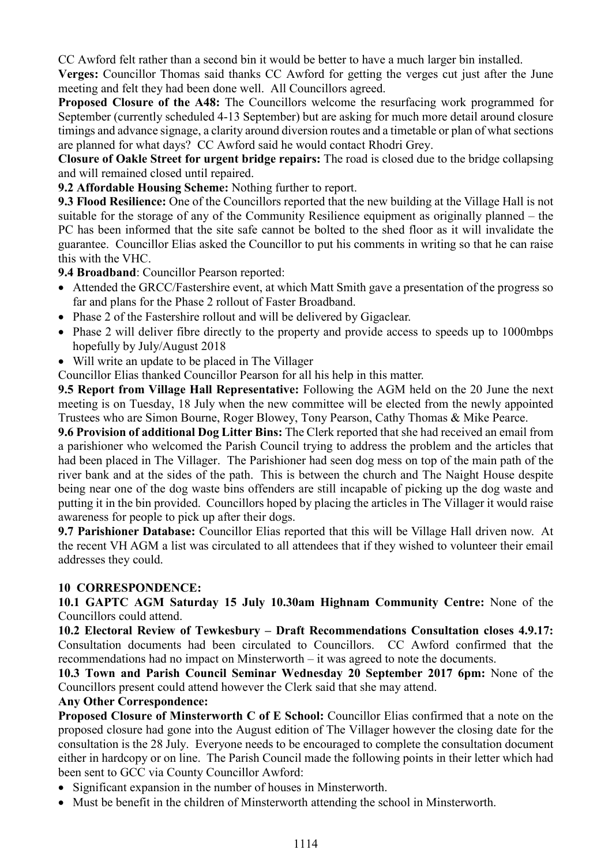CC Awford felt rather than a second bin it would be better to have a much larger bin installed.

**Verges:** Councillor Thomas said thanks CC Awford for getting the verges cut just after the June meeting and felt they had been done well. All Councillors agreed.

**Proposed Closure of the A48:** The Councillors welcome the resurfacing work programmed for September (currently scheduled 4-13 September) but are asking for much more detail around closure timings and advance signage, a clarity around diversion routes and a timetable or plan of what sections are planned for what days? CC Awford said he would contact Rhodri Grey.

**Closure of Oakle Street for urgent bridge repairs:** The road is closed due to the bridge collapsing and will remained closed until repaired.

**9.2 Affordable Housing Scheme:** Nothing further to report.

**9.3 Flood Resilience:** One of the Councillors reported that the new building at the Village Hall is not suitable for the storage of any of the Community Resilience equipment as originally planned – the PC has been informed that the site safe cannot be bolted to the shed floor as it will invalidate the guarantee. Councillor Elias asked the Councillor to put his comments in writing so that he can raise this with the VHC.

**9.4 Broadband**: Councillor Pearson reported:

- Attended the GRCC/Fastershire event, at which Matt Smith gave a presentation of the progress so far and plans for the Phase 2 rollout of Faster Broadband.
- Phase 2 of the Fastershire rollout and will be delivered by Gigaclear.
- Phase 2 will deliver fibre directly to the property and provide access to speeds up to 1000mbps hopefully by July/August 2018
- Will write an update to be placed in The Villager

Councillor Elias thanked Councillor Pearson for all his help in this matter.

**9.5 Report from Village Hall Representative:** Following the AGM held on the 20 June the next meeting is on Tuesday, 18 July when the new committee will be elected from the newly appointed Trustees who are Simon Bourne, Roger Blowey, Tony Pearson, Cathy Thomas & Mike Pearce.

**9.6 Provision of additional Dog Litter Bins:** The Clerk reported that she had received an email from a parishioner who welcomed the Parish Council trying to address the problem and the articles that had been placed in The Villager. The Parishioner had seen dog mess on top of the main path of the river bank and at the sides of the path. This is between the church and The Naight House despite being near one of the dog waste bins offenders are still incapable of picking up the dog waste and putting it in the bin provided. Councillors hoped by placing the articles in The Villager it would raise awareness for people to pick up after their dogs.

**9.7 Parishioner Database:** Councillor Elias reported that this will be Village Hall driven now. At the recent VH AGM a list was circulated to all attendees that if they wished to volunteer their email addresses they could.

# **10 CORRESPONDENCE:**

**10.1 GAPTC AGM Saturday 15 July 10.30am Highnam Community Centre:** None of the Councillors could attend.

**10.2 Electoral Review of Tewkesbury – Draft Recommendations Consultation closes 4.9.17:**  Consultation documents had been circulated to Councillors. CC Awford confirmed that the recommendations had no impact on Minsterworth – it was agreed to note the documents.

**10.3 Town and Parish Council Seminar Wednesday 20 September 2017 6pm:** None of the Councillors present could attend however the Clerk said that she may attend.

## **Any Other Correspondence:**

**Proposed Closure of Minsterworth C of E School:** Councillor Elias confirmed that a note on the proposed closure had gone into the August edition of The Villager however the closing date for the consultation is the 28 July. Everyone needs to be encouraged to complete the consultation document either in hardcopy or on line. The Parish Council made the following points in their letter which had been sent to GCC via County Councillor Awford:

- Significant expansion in the number of houses in Minsterworth.
- Must be benefit in the children of Minsterworth attending the school in Minsterworth.